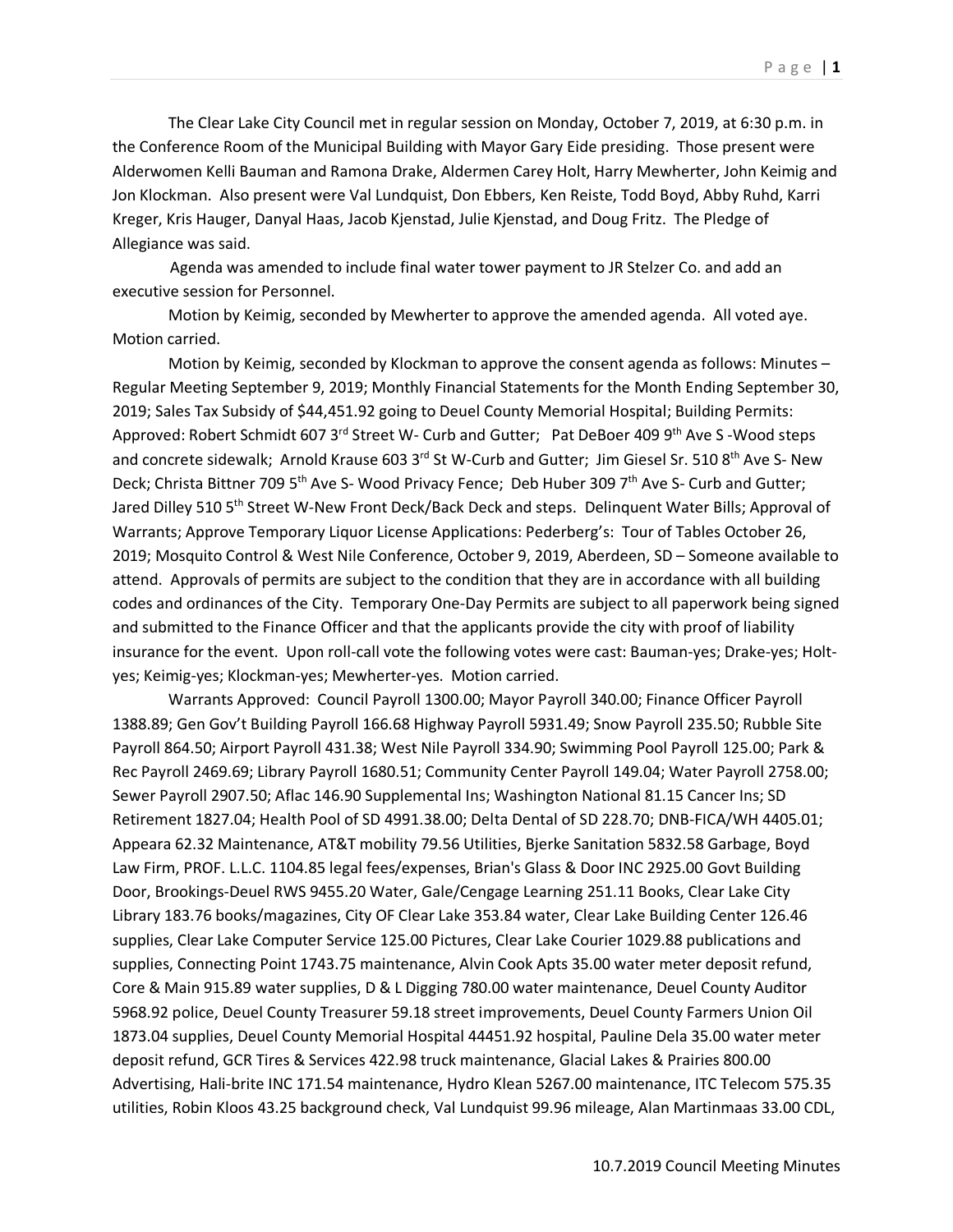The Clear Lake City Council met in regular session on Monday, October 7, 2019, at 6:30 p.m. in the Conference Room of the Municipal Building with Mayor Gary Eide presiding. Those present were Alderwomen Kelli Bauman and Ramona Drake, Aldermen Carey Holt, Harry Mewherter, John Keimig and Jon Klockman. Also present were Val Lundquist, Don Ebbers, Ken Reiste, Todd Boyd, Abby Ruhd, Karri Kreger, Kris Hauger, Danyal Haas, Jacob Kjenstad, Julie Kjenstad, and Doug Fritz. The Pledge of Allegiance was said.

 Agenda was amended to include final water tower payment to JR Stelzer Co. and add an executive session for Personnel.

Motion by Keimig, seconded by Mewherter to approve the amended agenda. All voted aye. Motion carried.

Motion by Keimig, seconded by Klockman to approve the consent agenda as follows: Minutes – Regular Meeting September 9, 2019; Monthly Financial Statements for the Month Ending September 30, 2019; Sales Tax Subsidy of \$44,451.92 going to Deuel County Memorial Hospital; Building Permits: Approved: Robert Schmidt 607 3<sup>rd</sup> Street W- Curb and Gutter; Pat DeBoer 409 9<sup>th</sup> Ave S-Wood steps and concrete sidewalk; Arnold Krause 603 3rd St W-Curb and Gutter; Jim Giesel Sr. 510 8<sup>th</sup> Ave S- New Deck; Christa Bittner 709 5<sup>th</sup> Ave S- Wood Privacy Fence; Deb Huber 309 7<sup>th</sup> Ave S- Curb and Gutter; Jared Dilley 510 5<sup>th</sup> Street W-New Front Deck/Back Deck and steps. Delinquent Water Bills; Approval of Warrants; Approve Temporary Liquor License Applications: Pederberg's: Tour of Tables October 26, 2019; Mosquito Control & West Nile Conference, October 9, 2019, Aberdeen, SD – Someone available to attend. Approvals of permits are subject to the condition that they are in accordance with all building codes and ordinances of the City. Temporary One-Day Permits are subject to all paperwork being signed and submitted to the Finance Officer and that the applicants provide the city with proof of liability insurance for the event. Upon roll-call vote the following votes were cast: Bauman-yes; Drake-yes; Holtyes; Keimig-yes; Klockman-yes; Mewherter-yes. Motion carried.

Warrants Approved: Council Payroll 1300.00; Mayor Payroll 340.00; Finance Officer Payroll 1388.89; Gen Gov't Building Payroll 166.68 Highway Payroll 5931.49; Snow Payroll 235.50; Rubble Site Payroll 864.50; Airport Payroll 431.38; West Nile Payroll 334.90; Swimming Pool Payroll 125.00; Park & Rec Payroll 2469.69; Library Payroll 1680.51; Community Center Payroll 149.04; Water Payroll 2758.00; Sewer Payroll 2907.50; Aflac 146.90 Supplemental Ins; Washington National 81.15 Cancer Ins; SD Retirement 1827.04; Health Pool of SD 4991.38.00; Delta Dental of SD 228.70; DNB-FICA/WH 4405.01; Appeara 62.32 Maintenance, AT&T mobility 79.56 Utilities, Bjerke Sanitation 5832.58 Garbage, Boyd Law Firm, PROF. L.L.C. 1104.85 legal fees/expenses, Brian's Glass & Door INC 2925.00 Govt Building Door, Brookings-Deuel RWS 9455.20 Water, Gale/Cengage Learning 251.11 Books, Clear Lake City Library 183.76 books/magazines, City OF Clear Lake 353.84 water, Clear Lake Building Center 126.46 supplies, Clear Lake Computer Service 125.00 Pictures, Clear Lake Courier 1029.88 publications and supplies, Connecting Point 1743.75 maintenance, Alvin Cook Apts 35.00 water meter deposit refund, Core & Main 915.89 water supplies, D & L Digging 780.00 water maintenance, Deuel County Auditor 5968.92 police, Deuel County Treasurer 59.18 street improvements, Deuel County Farmers Union Oil 1873.04 supplies, Deuel County Memorial Hospital 44451.92 hospital, Pauline Dela 35.00 water meter deposit refund, GCR Tires & Services 422.98 truck maintenance, Glacial Lakes & Prairies 800.00 Advertising, Hali-brite INC 171.54 maintenance, Hydro Klean 5267.00 maintenance, ITC Telecom 575.35 utilities, Robin Kloos 43.25 background check, Val Lundquist 99.96 mileage, Alan Martinmaas 33.00 CDL,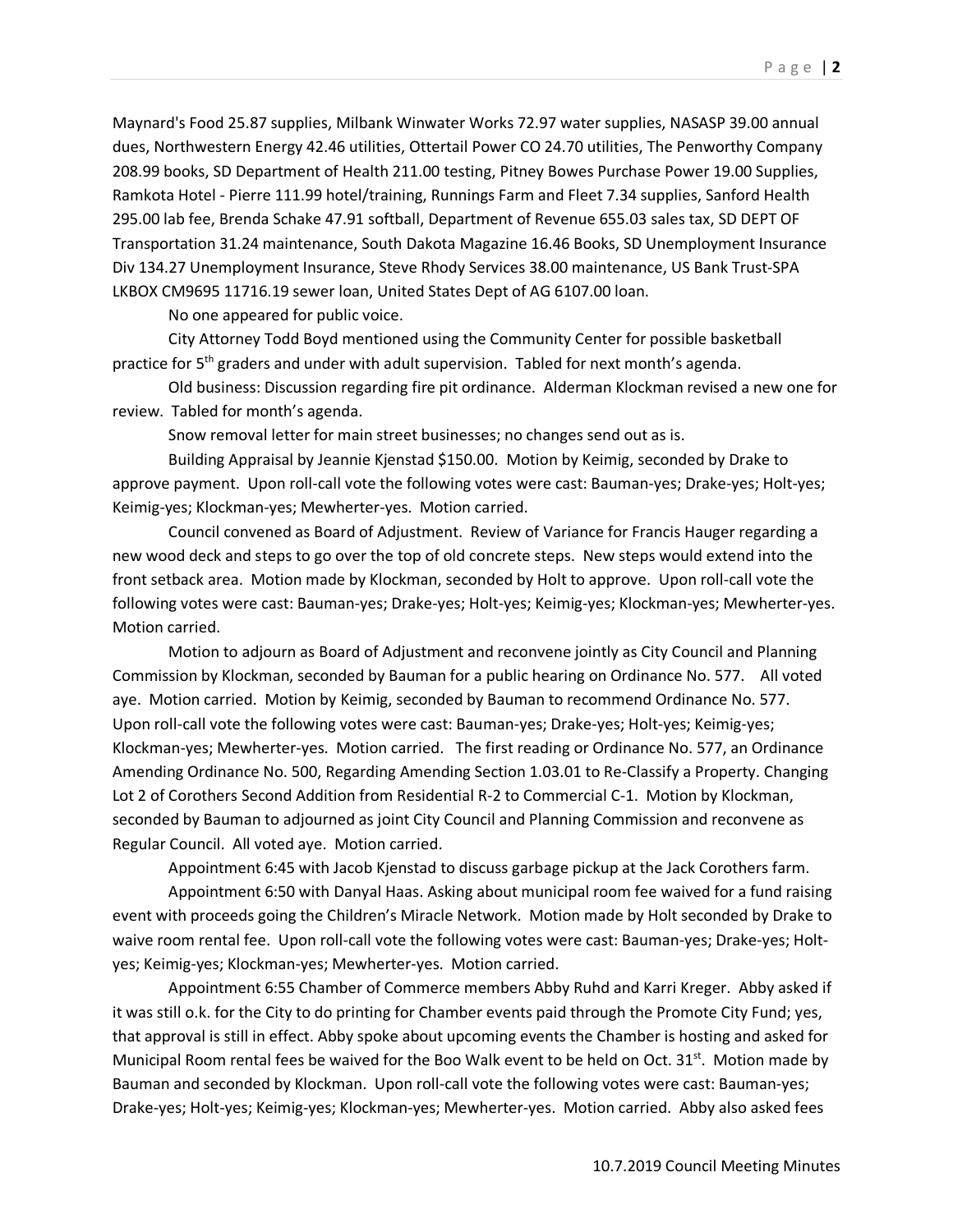Maynard's Food 25.87 supplies, Milbank Winwater Works 72.97 water supplies, NASASP 39.00 annual dues, Northwestern Energy 42.46 utilities, Ottertail Power CO 24.70 utilities, The Penworthy Company 208.99 books, SD Department of Health 211.00 testing, Pitney Bowes Purchase Power 19.00 Supplies, Ramkota Hotel - Pierre 111.99 hotel/training, Runnings Farm and Fleet 7.34 supplies, Sanford Health 295.00 lab fee, Brenda Schake 47.91 softball, Department of Revenue 655.03 sales tax, SD DEPT OF Transportation 31.24 maintenance, South Dakota Magazine 16.46 Books, SD Unemployment Insurance Div 134.27 Unemployment Insurance, Steve Rhody Services 38.00 maintenance, US Bank Trust-SPA LKBOX CM9695 11716.19 sewer loan, United States Dept of AG 6107.00 loan.

No one appeared for public voice.

City Attorney Todd Boyd mentioned using the Community Center for possible basketball practice for 5th graders and under with adult supervision. Tabled for next month's agenda.

Old business: Discussion regarding fire pit ordinance. Alderman Klockman revised a new one for review. Tabled for month's agenda.

Snow removal letter for main street businesses; no changes send out as is.

Building Appraisal by Jeannie Kjenstad \$150.00. Motion by Keimig, seconded by Drake to approve payment. Upon roll-call vote the following votes were cast: Bauman-yes; Drake-yes; Holt-yes; Keimig-yes; Klockman-yes; Mewherter-yes. Motion carried.

Council convened as Board of Adjustment. Review of Variance for Francis Hauger regarding a new wood deck and steps to go over the top of old concrete steps. New steps would extend into the front setback area. Motion made by Klockman, seconded by Holt to approve. Upon roll-call vote the following votes were cast: Bauman-yes; Drake-yes; Holt-yes; Keimig-yes; Klockman-yes; Mewherter-yes. Motion carried.

Motion to adjourn as Board of Adjustment and reconvene jointly as City Council and Planning Commission by Klockman, seconded by Bauman for a public hearing on Ordinance No. 577. All voted aye. Motion carried. Motion by Keimig, seconded by Bauman to recommend Ordinance No. 577. Upon roll-call vote the following votes were cast: Bauman-yes; Drake-yes; Holt-yes; Keimig-yes; Klockman-yes; Mewherter-yes. Motion carried. The first reading or Ordinance No. 577, an Ordinance Amending Ordinance No. 500, Regarding Amending Section 1.03.01 to Re-Classify a Property. Changing Lot 2 of Corothers Second Addition from Residential R-2 to Commercial C-1. Motion by Klockman, seconded by Bauman to adjourned as joint City Council and Planning Commission and reconvene as Regular Council. All voted aye. Motion carried.

Appointment 6:45 with Jacob Kjenstad to discuss garbage pickup at the Jack Corothers farm.

Appointment 6:50 with Danyal Haas. Asking about municipal room fee waived for a fund raising event with proceeds going the Children's Miracle Network. Motion made by Holt seconded by Drake to waive room rental fee. Upon roll-call vote the following votes were cast: Bauman-yes; Drake-yes; Holtyes; Keimig-yes; Klockman-yes; Mewherter-yes. Motion carried.

Appointment 6:55 Chamber of Commerce members Abby Ruhd and Karri Kreger. Abby asked if it was still o.k. for the City to do printing for Chamber events paid through the Promote City Fund; yes, that approval is still in effect. Abby spoke about upcoming events the Chamber is hosting and asked for Municipal Room rental fees be waived for the Boo Walk event to be held on Oct.  $31<sup>st</sup>$ . Motion made by Bauman and seconded by Klockman. Upon roll-call vote the following votes were cast: Bauman-yes; Drake-yes; Holt-yes; Keimig-yes; Klockman-yes; Mewherter-yes. Motion carried. Abby also asked fees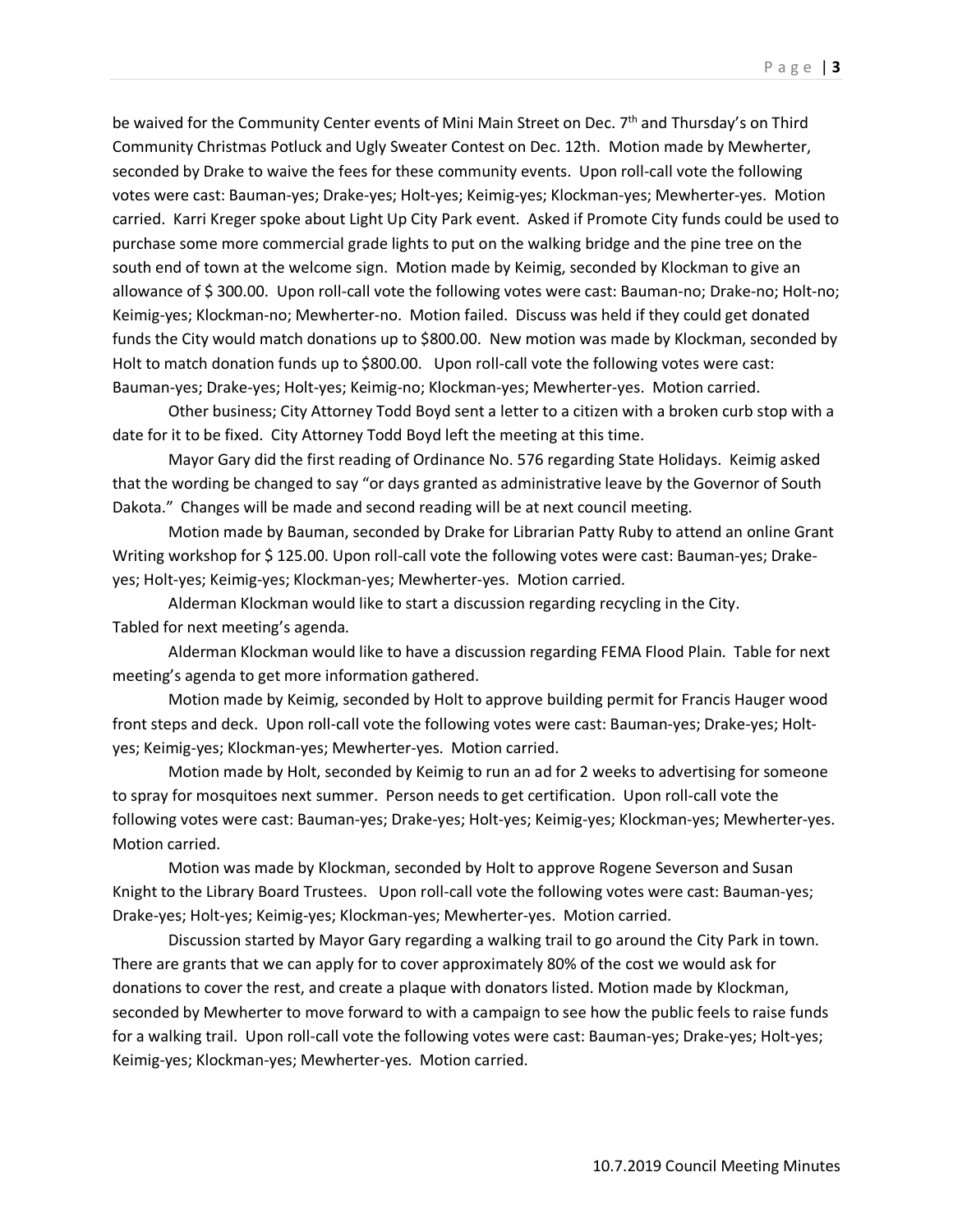be waived for the Community Center events of Mini Main Street on Dec. 7<sup>th</sup> and Thursday's on Third Community Christmas Potluck and Ugly Sweater Contest on Dec. 12th. Motion made by Mewherter, seconded by Drake to waive the fees for these community events. Upon roll-call vote the following votes were cast: Bauman-yes; Drake-yes; Holt-yes; Keimig-yes; Klockman-yes; Mewherter-yes. Motion carried. Karri Kreger spoke about Light Up City Park event. Asked if Promote City funds could be used to purchase some more commercial grade lights to put on the walking bridge and the pine tree on the south end of town at the welcome sign. Motion made by Keimig, seconded by Klockman to give an allowance of \$ 300.00. Upon roll-call vote the following votes were cast: Bauman-no; Drake-no; Holt-no; Keimig-yes; Klockman-no; Mewherter-no. Motion failed. Discuss was held if they could get donated funds the City would match donations up to \$800.00. New motion was made by Klockman, seconded by Holt to match donation funds up to \$800.00. Upon roll-call vote the following votes were cast: Bauman-yes; Drake-yes; Holt-yes; Keimig-no; Klockman-yes; Mewherter-yes. Motion carried.

Other business; City Attorney Todd Boyd sent a letter to a citizen with a broken curb stop with a date for it to be fixed. City Attorney Todd Boyd left the meeting at this time.

 Mayor Gary did the first reading of Ordinance No. 576 regarding State Holidays. Keimig asked that the wording be changed to say "or days granted as administrative leave by the Governor of South Dakota." Changes will be made and second reading will be at next council meeting.

Motion made by Bauman, seconded by Drake for Librarian Patty Ruby to attend an online Grant Writing workshop for \$125.00. Upon roll-call vote the following votes were cast: Bauman-yes; Drakeyes; Holt-yes; Keimig-yes; Klockman-yes; Mewherter-yes. Motion carried.

Alderman Klockman would like to start a discussion regarding recycling in the City. Tabled for next meeting's agenda.

Alderman Klockman would like to have a discussion regarding FEMA Flood Plain. Table for next meeting's agenda to get more information gathered.

Motion made by Keimig, seconded by Holt to approve building permit for Francis Hauger wood front steps and deck. Upon roll-call vote the following votes were cast: Bauman-yes; Drake-yes; Holtyes; Keimig-yes; Klockman-yes; Mewherter-yes. Motion carried.

Motion made by Holt, seconded by Keimig to run an ad for 2 weeks to advertising for someone to spray for mosquitoes next summer. Person needs to get certification. Upon roll-call vote the following votes were cast: Bauman-yes; Drake-yes; Holt-yes; Keimig-yes; Klockman-yes; Mewherter-yes. Motion carried.

Motion was made by Klockman, seconded by Holt to approve Rogene Severson and Susan Knight to the Library Board Trustees. Upon roll-call vote the following votes were cast: Bauman-yes; Drake-yes; Holt-yes; Keimig-yes; Klockman-yes; Mewherter-yes. Motion carried.

Discussion started by Mayor Gary regarding a walking trail to go around the City Park in town. There are grants that we can apply for to cover approximately 80% of the cost we would ask for donations to cover the rest, and create a plaque with donators listed. Motion made by Klockman, seconded by Mewherter to move forward to with a campaign to see how the public feels to raise funds for a walking trail. Upon roll-call vote the following votes were cast: Bauman-yes; Drake-yes; Holt-yes; Keimig-yes; Klockman-yes; Mewherter-yes. Motion carried.